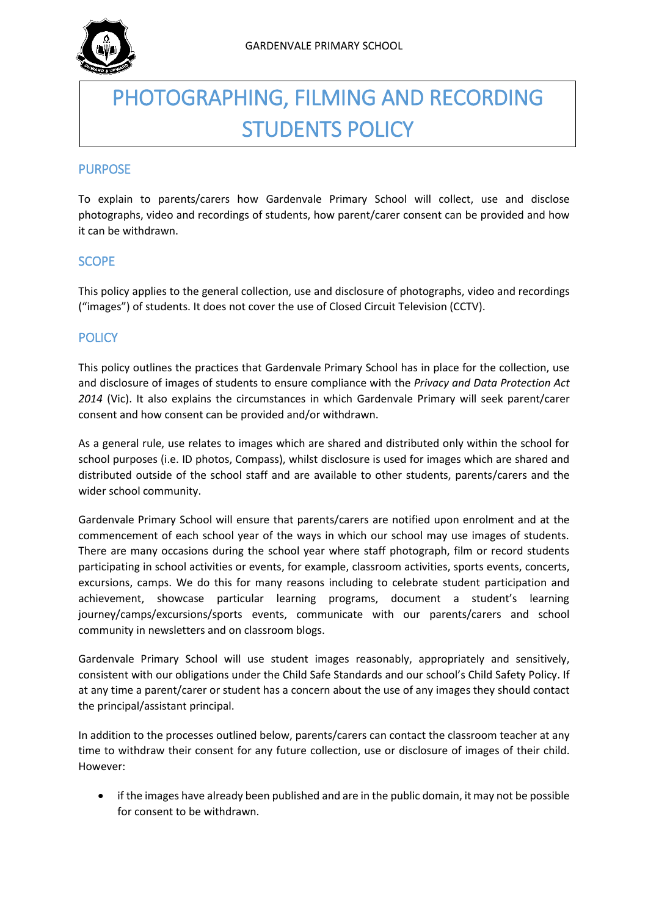

# PHOTOGRAPHING, FILMING AND RECORDING STUDENTS POLICY

## PURPOSE

To explain to parents/carers how Gardenvale Primary School will collect, use and disclose photographs, video and recordings of students, how parent/carer consent can be provided and how it can be withdrawn.

## SCOPE

This policy applies to the general collection, use and disclosure of photographs, video and recordings ("images") of students. It does not cover the use of Closed Circuit Television (CCTV).

## **POLICY**

This policy outlines the practices that Gardenvale Primary School has in place for the collection, use and disclosure of images of students to ensure compliance with the *Privacy and Data Protection Act 2014* (Vic). It also explains the circumstances in which Gardenvale Primary will seek parent/carer consent and how consent can be provided and/or withdrawn.

As a general rule, use relates to images which are shared and distributed only within the school for school purposes (i.e. ID photos, Compass), whilst disclosure is used for images which are shared and distributed outside of the school staff and are available to other students, parents/carers and the wider school community.

Gardenvale Primary School will ensure that parents/carers are notified upon enrolment and at the commencement of each school year of the ways in which our school may use images of students. There are many occasions during the school year where staff photograph, film or record students participating in school activities or events, for example, classroom activities, sports events, concerts, excursions, camps. We do this for many reasons including to celebrate student participation and achievement, showcase particular learning programs, document a student's learning journey/camps/excursions/sports events, communicate with our parents/carers and school community in newsletters and on classroom blogs.

Gardenvale Primary School will use student images reasonably, appropriately and sensitively, consistent with our obligations under the Child Safe Standards and our school's Child Safety Policy. If at any time a parent/carer or student has a concern about the use of any images they should contact the principal/assistant principal.

In addition to the processes outlined below, parents/carers can contact the classroom teacher at any time to withdraw their consent for any future collection, use or disclosure of images of their child. However:

• if the images have already been published and are in the public domain, it may not be possible for consent to be withdrawn.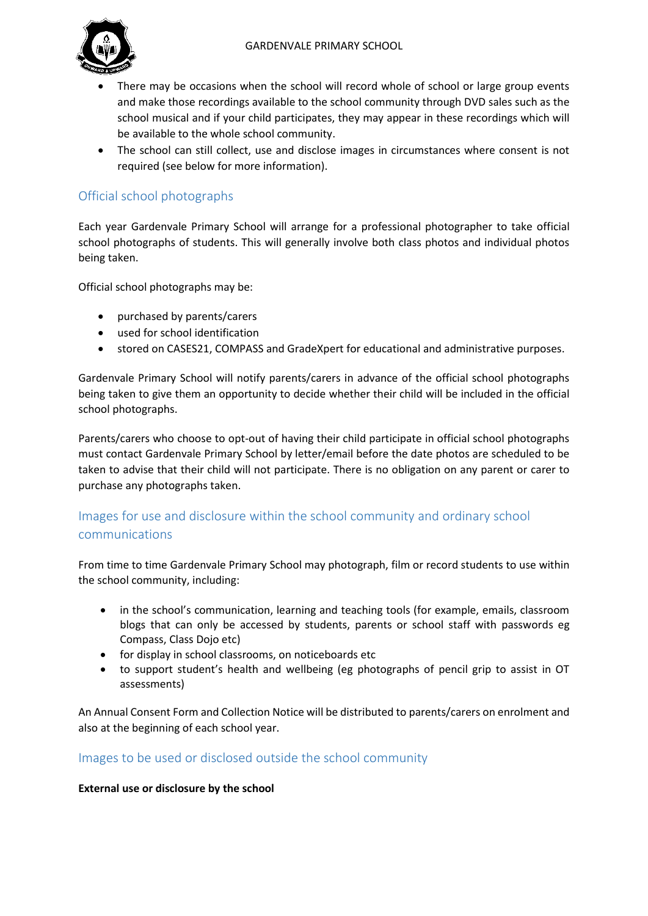

- There may be occasions when the school will record whole of school or large group events and make those recordings available to the school community through DVD sales such as the school musical and if your child participates, they may appear in these recordings which will be available to the whole school community.
- The school can still collect, use and disclose images in circumstances where consent is not required (see below for more information).

# Official school photographs

Each year Gardenvale Primary School will arrange for a professional photographer to take official school photographs of students. This will generally involve both class photos and individual photos being taken.

Official school photographs may be:

- purchased by parents/carers
- used for school identification
- stored on CASES21, COMPASS and GradeXpert for educational and administrative purposes.

Gardenvale Primary School will notify parents/carers in advance of the official school photographs being taken to give them an opportunity to decide whether their child will be included in the official school photographs.

Parents/carers who choose to opt-out of having their child participate in official school photographs must contact Gardenvale Primary School by letter/email before the date photos are scheduled to be taken to advise that their child will not participate. There is no obligation on any parent or carer to purchase any photographs taken.

# Images for use and disclosure within the school community and ordinary school communications

From time to time Gardenvale Primary School may photograph, film or record students to use within the school community, including:

- in the school's communication, learning and teaching tools (for example, emails, classroom blogs that can only be accessed by students, parents or school staff with passwords eg Compass, Class Dojo etc)
- for display in school classrooms, on noticeboards etc
- to support student's health and wellbeing (eg photographs of pencil grip to assist in OT assessments)

An Annual Consent Form and Collection Notice will be distributed to parents/carers on enrolment and also at the beginning of each school year.

## Images to be used or disclosed outside the school community

#### **External use or disclosure by the school**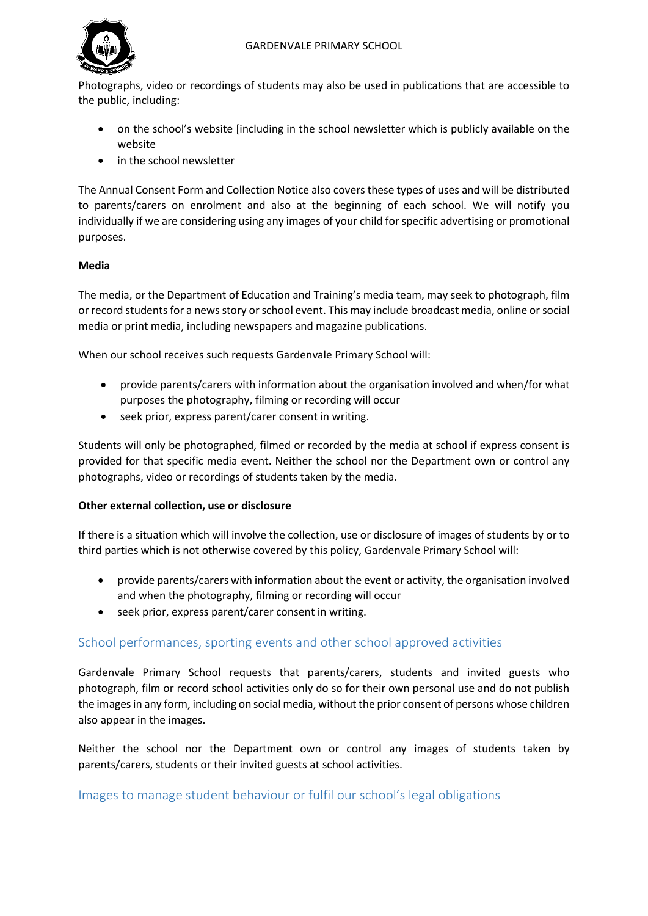

Photographs, video or recordings of students may also be used in publications that are accessible to the public, including:

- on the school's website [including in the school newsletter which is publicly available on the website
- in the school newsletter

The Annual Consent Form and Collection Notice also covers these types of uses and will be distributed to parents/carers on enrolment and also at the beginning of each school. We will notify you individually if we are considering using any images of your child for specific advertising or promotional purposes.

#### **Media**

The media, or the Department of Education and Training's media team, may seek to photograph, film or record students for a news story or school event. This may include broadcast media, online or social media or print media, including newspapers and magazine publications.

When our school receives such requests Gardenvale Primary School will:

- provide parents/carers with information about the organisation involved and when/for what purposes the photography, filming or recording will occur
- seek prior, express parent/carer consent in writing.

Students will only be photographed, filmed or recorded by the media at school if express consent is provided for that specific media event. Neither the school nor the Department own or control any photographs, video or recordings of students taken by the media.

#### **Other external collection, use or disclosure**

If there is a situation which will involve the collection, use or disclosure of images of students by or to third parties which is not otherwise covered by this policy, Gardenvale Primary School will:

- provide parents/carers with information about the event or activity, the organisation involved and when the photography, filming or recording will occur
- seek prior, express parent/carer consent in writing.

## School performances, sporting events and other school approved activities

Gardenvale Primary School requests that parents/carers, students and invited guests who photograph, film or record school activities only do so for their own personal use and do not publish the images in any form, including on social media, without the prior consent of persons whose children also appear in the images.

Neither the school nor the Department own or control any images of students taken by parents/carers, students or their invited guests at school activities.

### Images to manage student behaviour or fulfil our school's legal obligations